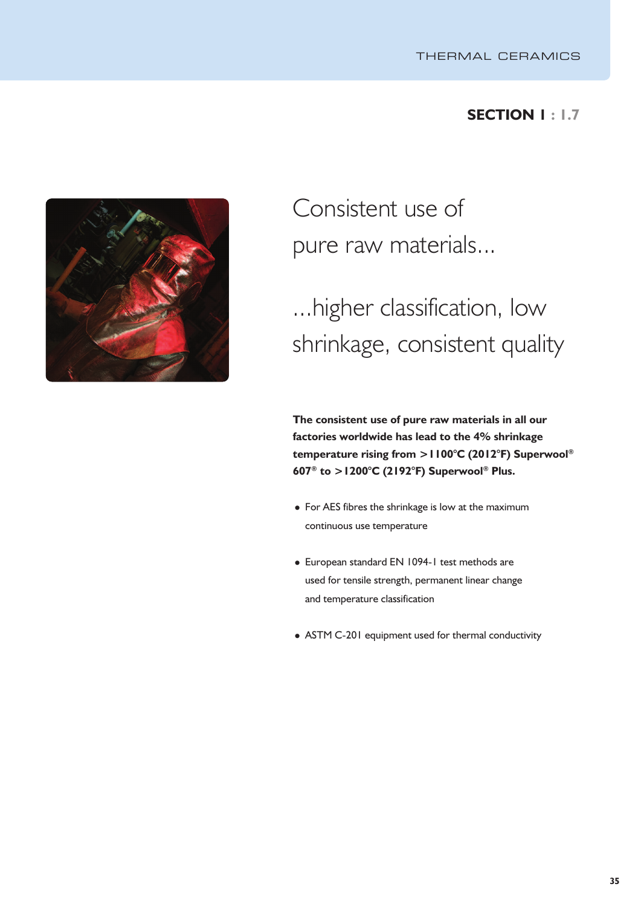**SECTION 1 : 1.7**



Consistent use of pure raw materials...

## ...higher classification, low shrinkage, consistent quality

**The consistent use of pure raw materials in all our factories worldwide has lead to the 4% shrinkage temperature rising from >1100°C (2012°F) Superwool ® 607® to >1200°C (2192°F) Superwool ® Plus.**

- For AES fibres the shrinkage is low at the maximum continuous use temperature
- European standard EN 1094-1 test methods are used for tensile strength, permanent linear change and temperature classification
- ASTM C-201 equipment used for thermal conductivity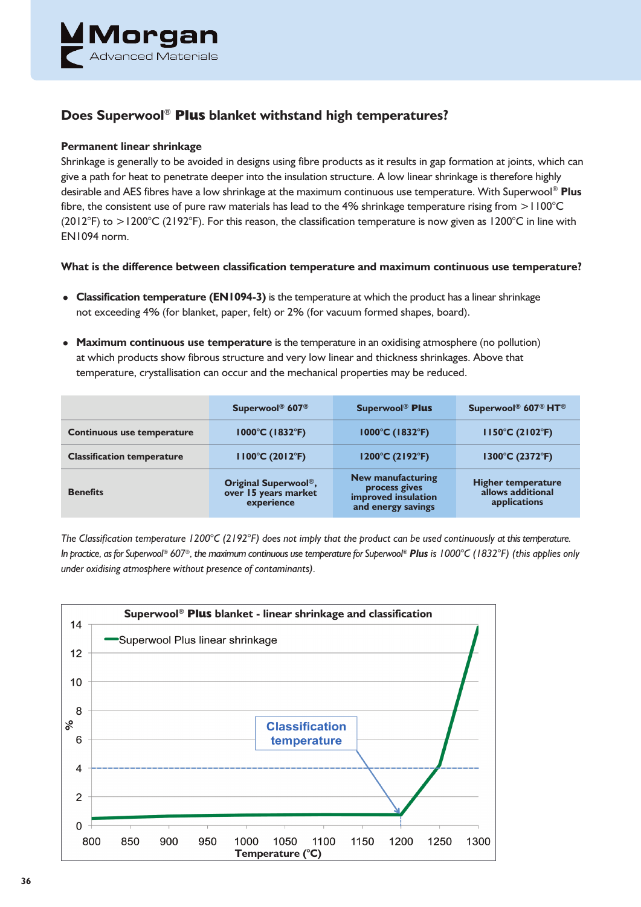

#### **Does Superwool** ® **Plus blanket withstand high temperatures?**

#### **Permanent linear shrinkage**

Shrinkage is generally to be avoided in designs using fibre products as it results in gap formation at joints, which can give a path for heat to penetrate deeper into the insulation structure. A low linear shrinkage is therefore highly desirable and AES fibres have a low shrinkage at the maximum continuous use temperature. With Superwool ® **Plus** fibre, the consistent use of pure raw materials has lead to the 4% shrinkage temperature rising from >1100°C (2012°F) to >1200°C (2192°F). For this reason, the classification temperature is now given as 1200°C in line with EN1094 norm.

#### **What is the difference between classification temperature and maximum continuous use temperature?**

- **Classification temperature (EN1094-3)** is the temperature at which the product has a linear shrinkage not exceeding 4% (for blanket, paper, felt) or 2% (for vacuum formed shapes, board).
- **Maximum continuous use temperature** is the temperature in an oxidising atmosphere (no pollution) at which products show fibrous structure and very low linear and thickness shrinkages. Above that temperature, crystallisation can occur and the mechanical properties may be reduced.

|                                   | Superwool <sup>®</sup> 607 <sup>®</sup>                    | <b>Superwool® Plus</b>                                                                 | Superwool® 607® HT®                                            |
|-----------------------------------|------------------------------------------------------------|----------------------------------------------------------------------------------------|----------------------------------------------------------------|
| <b>Continuous use temperature</b> | $1000^{\circ}$ C (1832 $^{\circ}$ F)                       | $1000^{\circ}$ C (1832 $^{\circ}$ F)                                                   | $1150^{\circ}C(2102^{\circ}F)$                                 |
| <b>Classification temperature</b> | 1100°C (2012°F)                                            | $1200^{\circ}$ C (2192 $^{\circ}$ F)                                                   | 1300°C (2372°F)                                                |
| <b>Benefits</b>                   | Original Superwool®,<br>over 15 years market<br>experience | <b>New manufacturing</b><br>process gives<br>improved insulation<br>and energy savings | <b>Higher temperature</b><br>allows additional<br>applications |

The Classification temperature 1200°C (2192°F) does not imply that the product can be used continuously at this temperature. In practice, as for Superwool® 607®, the maximum continuous use temperature for Superwool® **Plus** is 1000°C (1832°F) (this applies only *under oxidising atmosphere without presence of contaminants).*

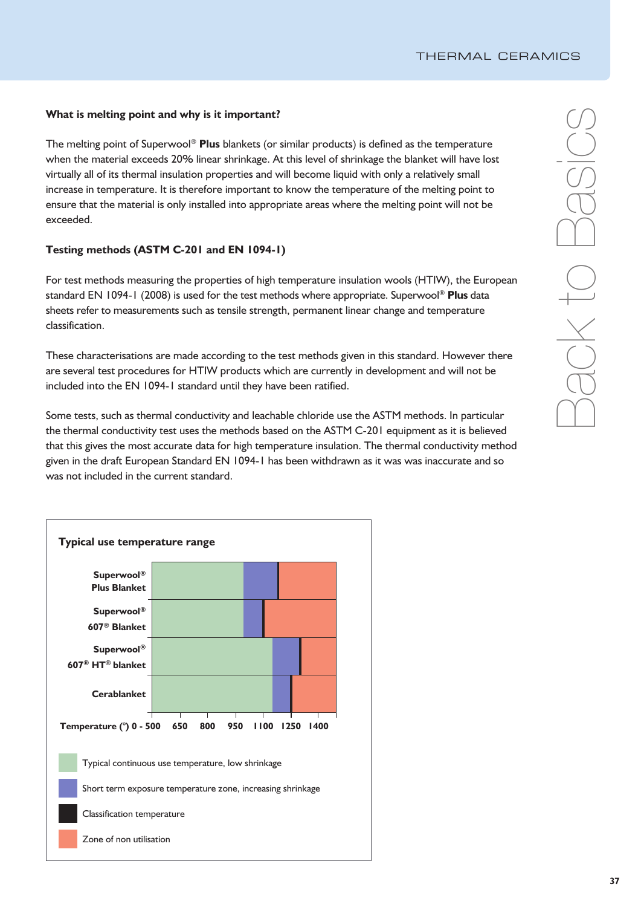#### **What is melting point and why is it important?**

The melting point of Superwool ® **Plus** blankets (or similar products) is defined as the temperature when the material exceeds 20% linear shrinkage. At this level of shrinkage the blanket will have lost virtually all of its thermal insulation properties and will become liquid with only a relatively small increase in temperature. It is therefore important to know the temperature of the melting point to ensure that the material is only installed into appropriate areas where the melting point will not be exceeded.

#### **Testing methods (ASTM C-201 and EN 1094-1)**

For test methods measuring the properties of high temperature insulation wools (HTIW), the European standard EN 1094-1 (2008) is used for the test methods where appropriate. Superwool ® **Plus** data sheets refer to measurements such as tensile strength, permanent linear change and temperature classification.

These characterisations are made according to the test methods given in this standard. However there are several test procedures for HTIW products which are currently in development and will not be included into the EN 1094-1 standard until they have been ratified.

Some tests, such as thermal conductivity and leachable chloride use the ASTM methods. In particular the thermal conductivity test uses the methods based on the ASTM C-201 equipment as it is believed that this gives the most accurate data for high temperature insulation. The thermal conductivity method given in the draft European Standard EN 1094-1 has been withdrawn as it was was inaccurate and so was not included in the current standard.